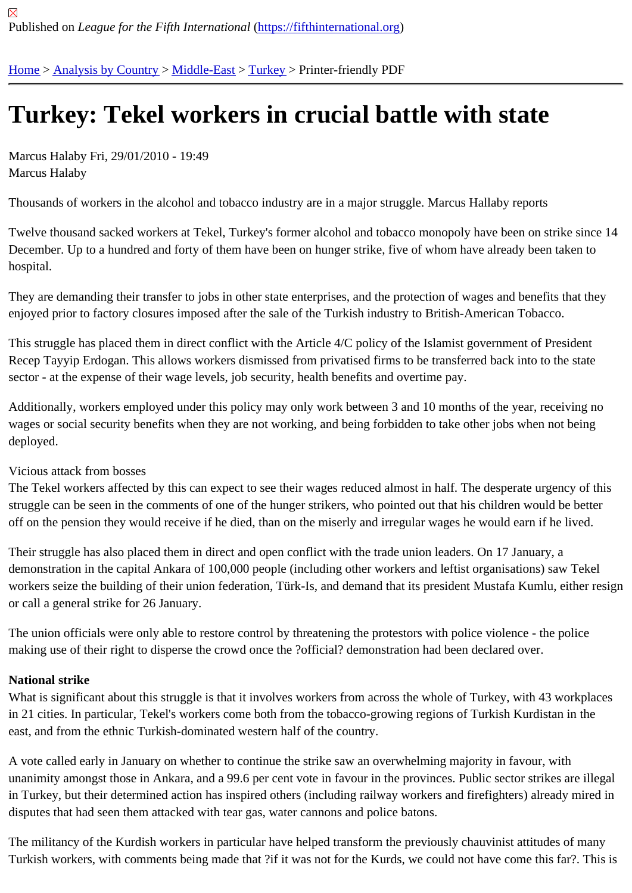## [Tur](https://fifthinternational.org/)[key: Tekel](https://fifthinternational.org/category/1) [worke](https://fifthinternational.org/category/1/178)r[s in](https://fifthinternational.org/category/1/178/174) crucial battle with state

Marcus Halaby Fri, 29/01/2010 - 19:49 Marcus Halaby

Thousands of workers in the alcohol and tobacco industry are in a major struggle. Marcus Hallaby reports

Twelve thousand sacked workers at Tekel, Turkey's former alcohol and tobacco monopoly have been on strike sin December. Up to a hundred and forty of them have been on hunger strike, five of whom have already been taken t hospital.

They are demanding their transfer to jobs in other state enterprises, and the protection of wages and benefits that enjoyed prior to factory closures imposed after the sale of the Turkish industry to British-American Tobacco.

This struggle has placed them in direct conflict with the Article 4/C policy of the Islamist government of President Recep Tayyip Erdogan. This allows workers dismissed from privatised firms to be transferred back into to the state sector - at the expense of their wage levels, job security, health benefits and overtime pay.

Additionally, workers employed under this policy may only work between 3 and 10 months of the year, receiving no wages or social security benefits when they are not working, and being forbidden to take other jobs when not bein deployed.

## Vicious attack from bosses

The Tekel workers affected by this can expect to see their wages reduced almost in half. The desperate urgency c struggle can be seen in the comments of one of the hunger strikers, who pointed out that his children would be bet off on the pension they would receive if he died, than on the miserly and irregular wages he would earn if he lived.

Their struggle has also placed them in direct and open conflict with the trade union leaders. On 17 January, a demonstration in the capital Ankara of 100,000 people (including other workers and leftist organisations) saw Teke workers seize the building of their union federation, Türk-Is, and demand that its president Mustafa Kumlu, either r or call a general strike for 26 January.

The union officials were only able to restore control by threatening the protestors with police violence - the police making use of their right to disperse the crowd once the ?official? demonstration had been declared over.

## National strike

What is significant about this struggle is that it involves workers from across the whole of Turkey, with 43 workplac in 21 cities. In particular, Tekel's workers come both from the tobacco-growing regions of Turkish Kurdistan in the east, and from the ethnic Turkish-dominated western half of the country.

A vote called early in January on whether to continue the strike saw an overwhelming majority in favour, with unanimity amongst those in Ankara, and a 99.6 per cent vote in favour in the provinces. Public sector strikes are il in Turkey, but their determined action has inspired others (including railway workers and firefighters) already mired disputes that had seen them attacked with tear gas, water cannons and police batons.

The militancy of the Kurdish workers in particular have helped transform the previously chauvinist attitudes of many Turkish workers, with comments being made that ?if it was not for the Kurds, we could not have come this far?. Th